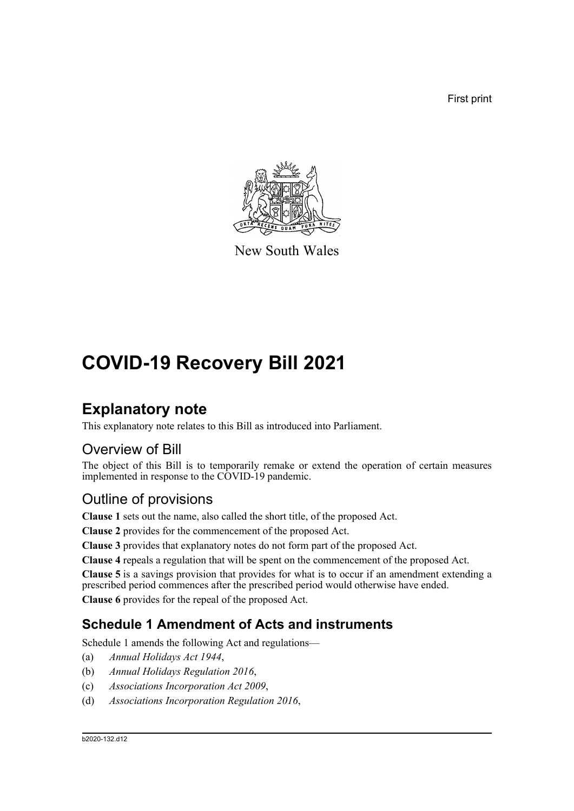First print



New South Wales

# **COVID-19 Recovery Bill 2021**

# **Explanatory note**

This explanatory note relates to this Bill as introduced into Parliament.

# Overview of Bill

The object of this Bill is to temporarily remake or extend the operation of certain measures implemented in response to the COVID-19 pandemic.

# Outline of provisions

**Clause 1** sets out the name, also called the short title, of the proposed Act.

**Clause 2** provides for the commencement of the proposed Act.

**Clause 3** provides that explanatory notes do not form part of the proposed Act.

**Clause 4** repeals a regulation that will be spent on the commencement of the proposed Act.

**Clause 5** is a savings provision that provides for what is to occur if an amendment extending a prescribed period commences after the prescribed period would otherwise have ended.

**Clause 6** provides for the repeal of the proposed Act.

# **Schedule 1 Amendment of Acts and instruments**

Schedule 1 amends the following Act and regulations—

- (a) *Annual Holidays Act 1944*,
- (b) *Annual Holidays Regulation 2016*,
- (c) *Associations Incorporation Act 2009*,
- (d) *Associations Incorporation Regulation 2016*,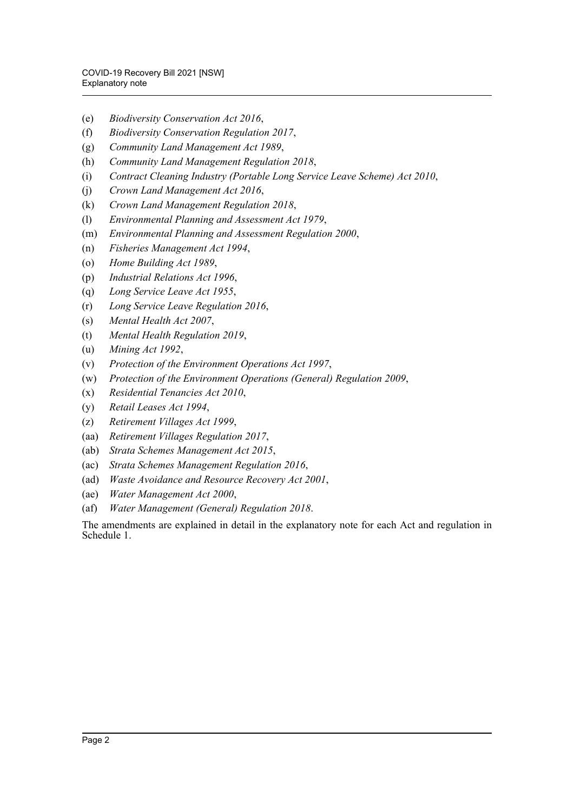- (e) *Biodiversity Conservation Act 2016*,
- (f) *Biodiversity Conservation Regulation 2017*,
- (g) *Community Land Management Act 1989*,
- (h) *Community Land Management Regulation 2018*,
- (i) *Contract Cleaning Industry (Portable Long Service Leave Scheme) Act 2010*,
- (j) *Crown Land Management Act 2016*,
- (k) *Crown Land Management Regulation 2018*,
- (l) *Environmental Planning and Assessment Act 1979*,
- (m) *Environmental Planning and Assessment Regulation 2000*,
- (n) *Fisheries Management Act 1994*,
- (o) *Home Building Act 1989*,
- (p) *Industrial Relations Act 1996*,
- (q) *Long Service Leave Act 1955*,
- (r) *Long Service Leave Regulation 2016*,
- (s) *Mental Health Act 2007*,
- (t) *Mental Health Regulation 2019*,
- (u) *Mining Act 1992*,
- (v) *Protection of the Environment Operations Act 1997*,
- (w) *Protection of the Environment Operations (General) Regulation 2009*,
- (x) *Residential Tenancies Act 2010*,
- (y) *Retail Leases Act 1994*,
- (z) *Retirement Villages Act 1999*,
- (aa) *Retirement Villages Regulation 2017*,
- (ab) *Strata Schemes Management Act 2015*,
- (ac) *Strata Schemes Management Regulation 2016*,
- (ad) *Waste Avoidance and Resource Recovery Act 2001*,
- (ae) *Water Management Act 2000*,
- (af) *Water Management (General) Regulation 2018*.

The amendments are explained in detail in the explanatory note for each Act and regulation in Schedule 1.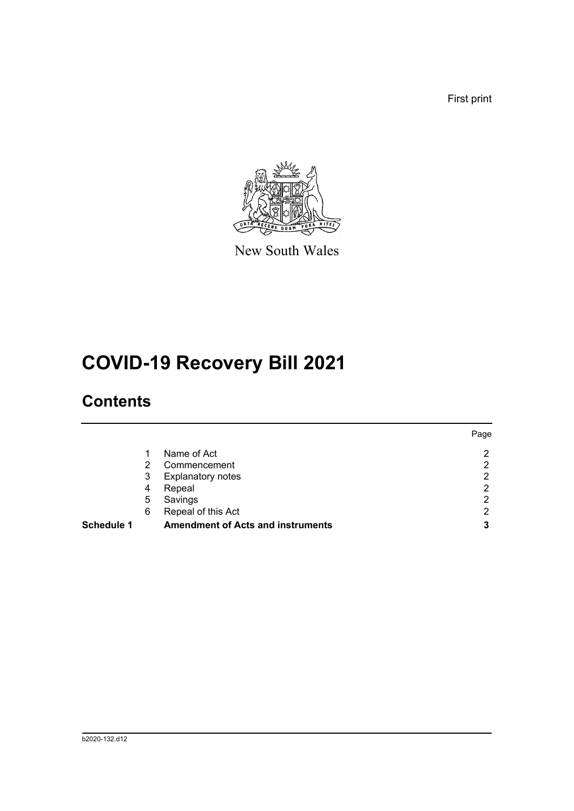First print



New South Wales

# **COVID-19 Recovery Bill 2021**

# **Contents**

|            |   |                                          | Page |
|------------|---|------------------------------------------|------|
|            | 1 | Name of Act                              | 2    |
|            | 2 | Commencement                             | 2    |
|            | 3 | <b>Explanatory notes</b>                 | ົ    |
|            | 4 | Repeal                                   | റ    |
|            | 5 | Savings                                  | ⌒    |
|            | 6 | Repeal of this Act                       | າ    |
| Schedule 1 |   | <b>Amendment of Acts and instruments</b> | 3    |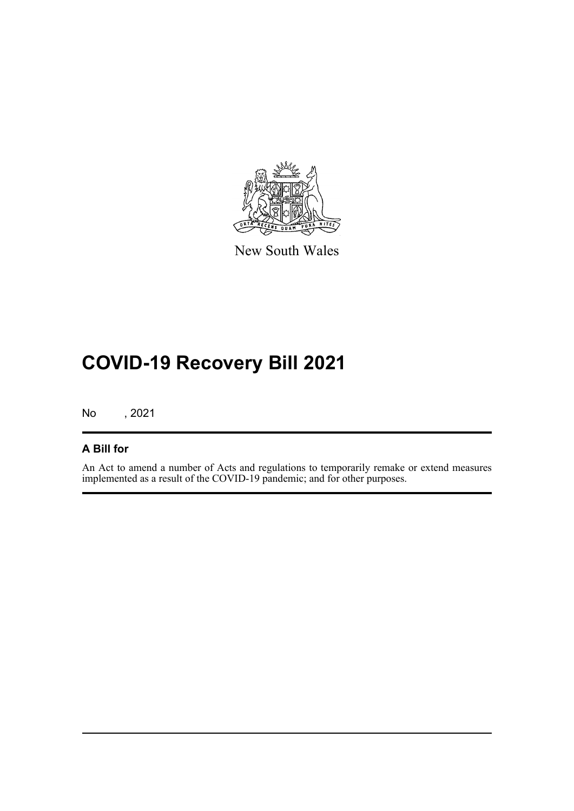

New South Wales

# **COVID-19 Recovery Bill 2021**

No , 2021

# **A Bill for**

An Act to amend a number of Acts and regulations to temporarily remake or extend measures implemented as a result of the COVID-19 pandemic; and for other purposes.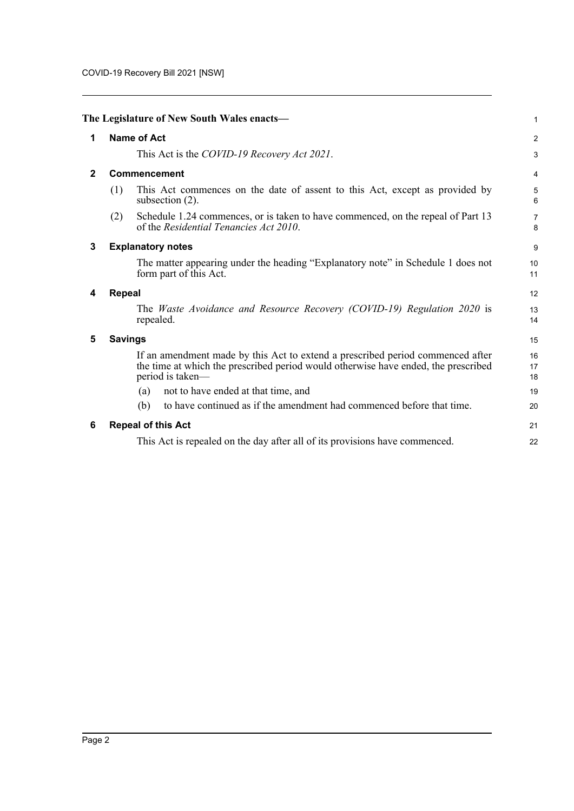<span id="page-4-5"></span><span id="page-4-4"></span><span id="page-4-3"></span><span id="page-4-2"></span><span id="page-4-1"></span><span id="page-4-0"></span>

|              |                | The Legislature of New South Wales enacts-                                                                                                                                               | 1                   |
|--------------|----------------|------------------------------------------------------------------------------------------------------------------------------------------------------------------------------------------|---------------------|
| 1            |                | <b>Name of Act</b>                                                                                                                                                                       | $\overline{a}$      |
|              |                | This Act is the COVID-19 Recovery Act 2021.                                                                                                                                              | 3                   |
| $\mathbf{2}$ |                | Commencement                                                                                                                                                                             | 4                   |
|              | (1)            | This Act commences on the date of assent to this Act, except as provided by<br>subsection $(2)$ .                                                                                        | $\frac{5}{6}$       |
|              | (2)            | Schedule 1.24 commences, or is taken to have commenced, on the repeal of Part 13<br>of the Residential Tenancies Act 2010.                                                               | $\overline{7}$<br>8 |
| 3            |                | <b>Explanatory notes</b>                                                                                                                                                                 | 9                   |
|              |                | The matter appearing under the heading "Explanatory note" in Schedule 1 does not<br>form part of this Act.                                                                               | 10<br>11            |
| 4            | <b>Repeal</b>  |                                                                                                                                                                                          | 12                  |
|              |                | The Waste Avoidance and Resource Recovery (COVID-19) Regulation 2020 is<br>repealed.                                                                                                     | 13<br>14            |
| 5            | <b>Savings</b> |                                                                                                                                                                                          | 15                  |
|              |                | If an amendment made by this Act to extend a prescribed period commenced after<br>the time at which the prescribed period would otherwise have ended, the prescribed<br>period is taken- | 16<br>17<br>18      |
|              |                | not to have ended at that time, and<br>(a)                                                                                                                                               | 19                  |
|              |                | (b)<br>to have continued as if the amendment had commenced before that time.                                                                                                             | 20                  |
| 6            |                | <b>Repeal of this Act</b>                                                                                                                                                                | 21                  |
|              |                | This Act is repealed on the day after all of its provisions have commenced.                                                                                                              | 22                  |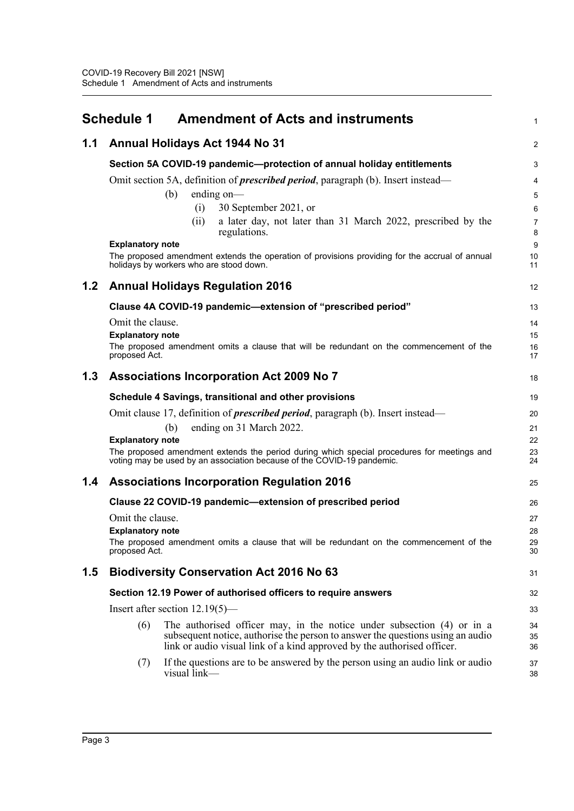<span id="page-5-0"></span>

|     | <b>Amendment of Acts and instruments</b><br>Schedule 1                                                                                                                                                                                     | 1              |
|-----|--------------------------------------------------------------------------------------------------------------------------------------------------------------------------------------------------------------------------------------------|----------------|
| 1.1 | Annual Holidays Act 1944 No 31                                                                                                                                                                                                             | 2              |
|     | Section 5A COVID-19 pandemic-protection of annual holiday entitlements                                                                                                                                                                     | 3              |
|     | Omit section 5A, definition of <i>prescribed period</i> , paragraph (b). Insert instead—                                                                                                                                                   | 4              |
|     | ending on-<br>(b)                                                                                                                                                                                                                          | 5              |
|     | (i)<br>30 September 2021, or                                                                                                                                                                                                               | 6              |
|     | a later day, not later than 31 March 2022, prescribed by the<br>(i)<br>regulations.                                                                                                                                                        | 7<br>8         |
|     | <b>Explanatory note</b>                                                                                                                                                                                                                    | 9              |
|     | The proposed amendment extends the operation of provisions providing for the accrual of annual<br>holidays by workers who are stood down.                                                                                                  | 10<br>11       |
| 1.2 | <b>Annual Holidays Regulation 2016</b>                                                                                                                                                                                                     | 12             |
|     | Clause 4A COVID-19 pandemic-extension of "prescribed period"                                                                                                                                                                               | 13             |
|     | Omit the clause.                                                                                                                                                                                                                           | 14             |
|     | <b>Explanatory note</b>                                                                                                                                                                                                                    | 15             |
|     | The proposed amendment omits a clause that will be redundant on the commencement of the<br>proposed Act.                                                                                                                                   | 16<br>17       |
| 1.3 | <b>Associations Incorporation Act 2009 No 7</b>                                                                                                                                                                                            | 18             |
|     | Schedule 4 Savings, transitional and other provisions                                                                                                                                                                                      | 19             |
|     | Omit clause 17, definition of <i>prescribed period</i> , paragraph (b). Insert instead—                                                                                                                                                    | 20             |
|     | ending on 31 March 2022.<br>(b)                                                                                                                                                                                                            | 21             |
|     | <b>Explanatory note</b>                                                                                                                                                                                                                    | 22             |
|     | The proposed amendment extends the period during which special procedures for meetings and<br>voting may be used by an association because of the COVID-19 pandemic.                                                                       | 23<br>24       |
| 1.4 | <b>Associations Incorporation Regulation 2016</b>                                                                                                                                                                                          | 25             |
|     | Clause 22 COVID-19 pandemic-extension of prescribed period                                                                                                                                                                                 | 26             |
|     | Omit the clause.                                                                                                                                                                                                                           | 27             |
|     | <b>Explanatory note</b>                                                                                                                                                                                                                    | 28             |
|     | The proposed amendment omits a clause that will be redundant on the commencement of the<br>proposed Act.                                                                                                                                   | 29<br>30       |
| 1.5 | <b>Biodiversity Conservation Act 2016 No 63</b>                                                                                                                                                                                            | 31             |
|     | Section 12.19 Power of authorised officers to require answers                                                                                                                                                                              | 32             |
|     | Insert after section $12.19(5)$ —                                                                                                                                                                                                          | 33             |
|     | The authorised officer may, in the notice under subsection (4) or in a<br>(6)<br>subsequent notice, authorise the person to answer the questions using an audio<br>link or audio visual link of a kind approved by the authorised officer. | 34<br>35<br>36 |
|     | If the questions are to be answered by the person using an audio link or audio<br>(7)<br>visual link-                                                                                                                                      | 37<br>38       |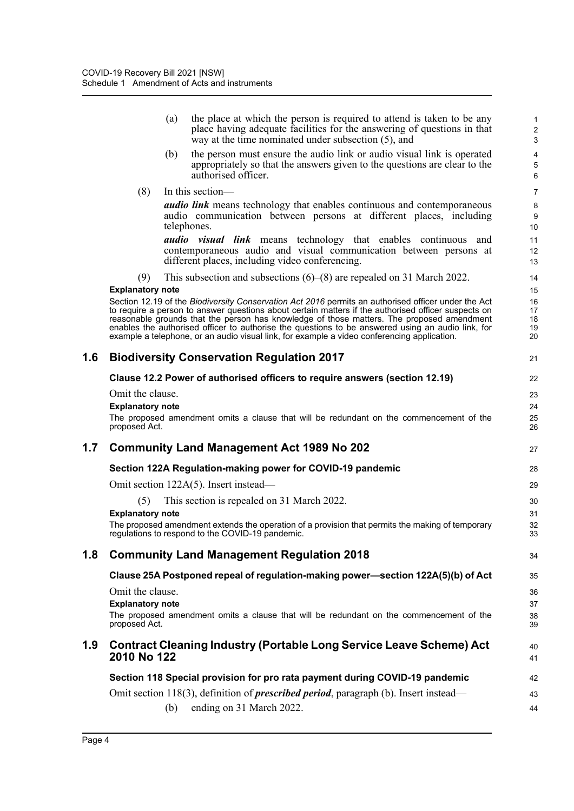|     |                         | (a) | the place at which the person is required to attend is taken to be any<br>place having adequate facilities for the answering of questions in that<br>way at the time nominated under subsection (5), and                                                                                                                                                                                                                                                                                                    | 1<br>$\overline{\mathbf{c}}$<br>3 |
|-----|-------------------------|-----|-------------------------------------------------------------------------------------------------------------------------------------------------------------------------------------------------------------------------------------------------------------------------------------------------------------------------------------------------------------------------------------------------------------------------------------------------------------------------------------------------------------|-----------------------------------|
|     |                         | (b) | the person must ensure the audio link or audio visual link is operated<br>appropriately so that the answers given to the questions are clear to the<br>authorised officer.                                                                                                                                                                                                                                                                                                                                  | 4<br>5<br>6                       |
|     | (8)                     |     | In this section-                                                                                                                                                                                                                                                                                                                                                                                                                                                                                            | $\overline{7}$                    |
|     |                         |     | <b><i>audio link</i></b> means technology that enables continuous and contemporaneous<br>audio communication between persons at different places, including<br>telephones.                                                                                                                                                                                                                                                                                                                                  | 8<br>9<br>10                      |
|     |                         |     | <b><i>audio visual link</i></b> means technology that enables continuous and<br>contemporaneous audio and visual communication between persons at<br>different places, including video conferencing.                                                                                                                                                                                                                                                                                                        | 11<br>12<br>13                    |
|     | (9)                     |     | This subsection and subsections $(6)$ – $(8)$ are repealed on 31 March 2022.                                                                                                                                                                                                                                                                                                                                                                                                                                | 14                                |
|     | <b>Explanatory note</b> |     | Section 12.19 of the Biodiversity Conservation Act 2016 permits an authorised officer under the Act<br>to require a person to answer questions about certain matters if the authorised officer suspects on<br>reasonable grounds that the person has knowledge of those matters. The proposed amendment<br>enables the authorised officer to authorise the questions to be answered using an audio link, for<br>example a telephone, or an audio visual link, for example a video conferencing application. | 15<br>16<br>17<br>18<br>19<br>20  |
| 1.6 |                         |     | <b>Biodiversity Conservation Regulation 2017</b>                                                                                                                                                                                                                                                                                                                                                                                                                                                            | 21                                |
|     |                         |     | Clause 12.2 Power of authorised officers to require answers (section 12.19)                                                                                                                                                                                                                                                                                                                                                                                                                                 | 22                                |
|     | Omit the clause.        |     |                                                                                                                                                                                                                                                                                                                                                                                                                                                                                                             | 23                                |
|     | <b>Explanatory note</b> |     |                                                                                                                                                                                                                                                                                                                                                                                                                                                                                                             | 24                                |
|     | proposed Act.           |     | The proposed amendment omits a clause that will be redundant on the commencement of the                                                                                                                                                                                                                                                                                                                                                                                                                     | 25<br>26                          |
| 1.7 |                         |     | <b>Community Land Management Act 1989 No 202</b>                                                                                                                                                                                                                                                                                                                                                                                                                                                            | 27                                |
|     |                         |     | Section 122A Regulation-making power for COVID-19 pandemic                                                                                                                                                                                                                                                                                                                                                                                                                                                  | 28                                |
|     |                         |     | Omit section 122A(5). Insert instead—                                                                                                                                                                                                                                                                                                                                                                                                                                                                       | 29                                |
|     | (5)                     |     | This section is repealed on 31 March 2022.                                                                                                                                                                                                                                                                                                                                                                                                                                                                  | 30                                |
|     | <b>Explanatory note</b> |     |                                                                                                                                                                                                                                                                                                                                                                                                                                                                                                             | 31                                |
|     |                         |     | The proposed amendment extends the operation of a provision that permits the making of temporary<br>regulations to respond to the COVID-19 pandemic.                                                                                                                                                                                                                                                                                                                                                        | 32<br>33                          |
| 1.8 |                         |     | <b>Community Land Management Regulation 2018</b>                                                                                                                                                                                                                                                                                                                                                                                                                                                            | 34                                |
|     |                         |     | Clause 25A Postponed repeal of regulation-making power—section 122A(5)(b) of Act                                                                                                                                                                                                                                                                                                                                                                                                                            | 35                                |
|     | Omit the clause.        |     |                                                                                                                                                                                                                                                                                                                                                                                                                                                                                                             | 36                                |
|     | <b>Explanatory note</b> |     |                                                                                                                                                                                                                                                                                                                                                                                                                                                                                                             | 37                                |
|     | proposed Act.           |     | The proposed amendment omits a clause that will be redundant on the commencement of the                                                                                                                                                                                                                                                                                                                                                                                                                     | 38<br>39                          |
| 1.9 | 2010 No 122             |     | <b>Contract Cleaning Industry (Portable Long Service Leave Scheme) Act</b>                                                                                                                                                                                                                                                                                                                                                                                                                                  | 40<br>41                          |
|     |                         |     | Section 118 Special provision for pro rata payment during COVID-19 pandemic                                                                                                                                                                                                                                                                                                                                                                                                                                 | 42                                |
|     |                         |     |                                                                                                                                                                                                                                                                                                                                                                                                                                                                                                             |                                   |
|     |                         |     | Omit section 118(3), definition of <b>prescribed period</b> , paragraph (b). Insert instead—                                                                                                                                                                                                                                                                                                                                                                                                                | 43                                |
|     |                         | (b) | ending on 31 March 2022.                                                                                                                                                                                                                                                                                                                                                                                                                                                                                    | 44                                |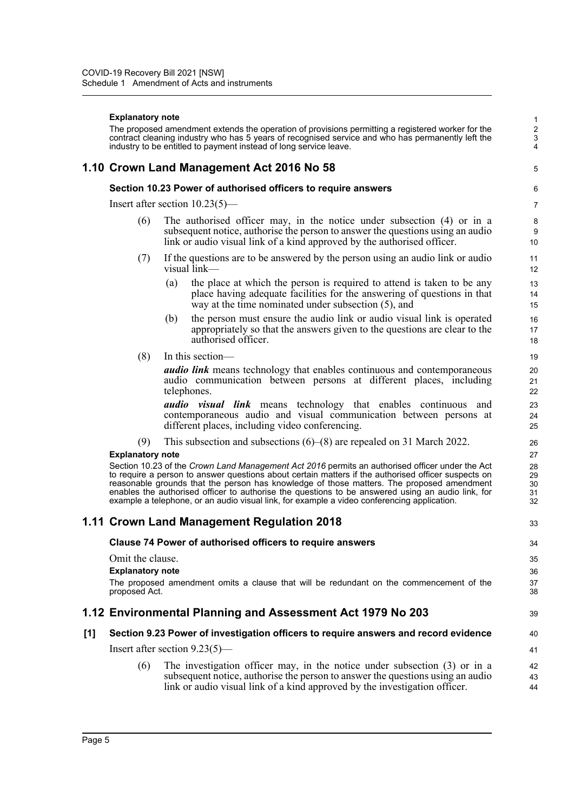#### **Explanatory note**

The proposed amendment extends the operation of provisions permitting a registered worker for the contract cleaning industry who has 5 years of recognised service and who has permanently left the industry to be entitled to payment instead of long service leave.

39

40 41

### **1.10 Crown Land Management Act 2016 No 58**

#### **Section 10.23 Power of authorised officers to require answers**

Insert after section 10.23(5)—

- (6) The authorised officer may, in the notice under subsection (4) or in a subsequent notice, authorise the person to answer the questions using an audio link or audio visual link of a kind approved by the authorised officer.
- (7) If the questions are to be answered by the person using an audio link or audio visual link—
	- (a) the place at which the person is required to attend is taken to be any place having adequate facilities for the answering of questions in that way at the time nominated under subsection (5), and
	- (b) the person must ensure the audio link or audio visual link is operated appropriately so that the answers given to the questions are clear to the authorised officer.
- (8) In this section—

*audio link* means technology that enables continuous and contemporaneous audio communication between persons at different places, including telephones.

*audio visual link* means technology that enables continuous and contemporaneous audio and visual communication between persons at different places, including video conferencing.

(9) This subsection and subsections (6)–(8) are repealed on 31 March 2022.

#### **Explanatory note**

Section 10.23 of the *Crown Land Management Act 2016* permits an authorised officer under the Act to require a person to answer questions about certain matters if the authorised officer suspects on reasonable grounds that the person has knowledge of those matters. The proposed amendment enables the authorised officer to authorise the questions to be answered using an audio link, for example a telephone, or an audio visual link, for example a video conferencing application.

#### **1.11 Crown Land Management Regulation 2018**

#### **Clause 74 Power of authorised officers to require answers**

Omit the clause.

**Explanatory note**

The proposed amendment omits a clause that will be redundant on the commencement of the proposed Act.

#### **1.12 Environmental Planning and Assessment Act 1979 No 203**

#### **[1] Section 9.23 Power of investigation officers to require answers and record evidence**

Insert after section 9.23(5)—

(6) The investigation officer may, in the notice under subsection (3) or in a subsequent notice, authorise the person to answer the questions using an audio link or audio visual link of a kind approved by the investigation officer. 42 43 44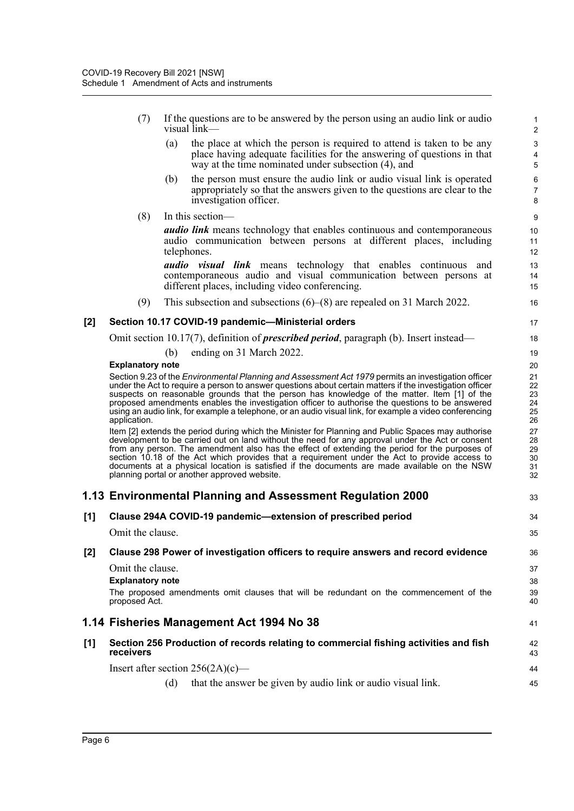- (7) If the questions are to be answered by the person using an audio link or audio visual link—
	- (a) the place at which the person is required to attend is taken to be any place having adequate facilities for the answering of questions in that way at the time nominated under subsection (4), and

- (b) the person must ensure the audio link or audio visual link is operated appropriately so that the answers given to the questions are clear to the investigation officer.
- (8) In this section—

*audio link* means technology that enables continuous and contemporaneous audio communication between persons at different places, including telephones.

*audio visual link* means technology that enables continuous and contemporaneous audio and visual communication between persons at different places, including video conferencing.

(9) This subsection and subsections (6)–(8) are repealed on 31 March 2022.

#### **[2] Section 10.17 COVID-19 pandemic—Ministerial orders**

Omit section 10.17(7), definition of *prescribed period*, paragraph (b). Insert instead—

(b) ending on 31 March 2022.

|     | <b>Explanatory note</b>                                                                                                                                                                                                                                                                                                                                                                                                                                                                                                                                   | 20                               |
|-----|-----------------------------------------------------------------------------------------------------------------------------------------------------------------------------------------------------------------------------------------------------------------------------------------------------------------------------------------------------------------------------------------------------------------------------------------------------------------------------------------------------------------------------------------------------------|----------------------------------|
|     | Section 9.23 of the <i>Environmental Planning and Assessment Act 1979</i> permits an investigation officer<br>under the Act to require a person to answer questions about certain matters if the investigation officer<br>suspects on reasonable grounds that the person has knowledge of the matter. Item [1] of the<br>proposed amendments enables the investigation officer to authorise the questions to be answered<br>using an audio link, for example a telephone, or an audio visual link, for example a video conferencing<br>application.       | 21<br>22<br>23<br>24<br>25<br>26 |
|     | Item [2] extends the period during which the Minister for Planning and Public Spaces may authorise<br>development to be carried out on land without the need for any approval under the Act or consent<br>from any person. The amendment also has the effect of extending the period for the purposes of<br>section 10.18 of the Act which provides that a requirement under the Act to provide access to<br>documents at a physical location is satisfied if the documents are made available on the NSW<br>planning portal or another approved website. | 27<br>28<br>29<br>30<br>31<br>32 |
|     | 1.13 Environmental Planning and Assessment Regulation 2000                                                                                                                                                                                                                                                                                                                                                                                                                                                                                                | 33                               |
| [1] | Clause 294A COVID-19 pandemic-extension of prescribed period                                                                                                                                                                                                                                                                                                                                                                                                                                                                                              | 34                               |
|     | Omit the clause.                                                                                                                                                                                                                                                                                                                                                                                                                                                                                                                                          | 35                               |
| [2] | Clause 298 Power of investigation officers to require answers and record evidence                                                                                                                                                                                                                                                                                                                                                                                                                                                                         | 36                               |
|     | Omit the clause.                                                                                                                                                                                                                                                                                                                                                                                                                                                                                                                                          | 37                               |
|     | <b>Explanatory note</b>                                                                                                                                                                                                                                                                                                                                                                                                                                                                                                                                   | 38                               |
|     | The proposed amendments omit clauses that will be redundant on the commencement of the<br>proposed Act.                                                                                                                                                                                                                                                                                                                                                                                                                                                   | 39<br>40                         |
|     | 1.14 Fisheries Management Act 1994 No 38                                                                                                                                                                                                                                                                                                                                                                                                                                                                                                                  | 41                               |
| [1] | Section 256 Production of records relating to commercial fishing activities and fish<br>receivers                                                                                                                                                                                                                                                                                                                                                                                                                                                         | 42<br>43                         |
|     | Insert after section $256(2A)(c)$ —                                                                                                                                                                                                                                                                                                                                                                                                                                                                                                                       | 44                               |
|     | that the answer be given by audio link or audio visual link.<br>(d)                                                                                                                                                                                                                                                                                                                                                                                                                                                                                       | 45                               |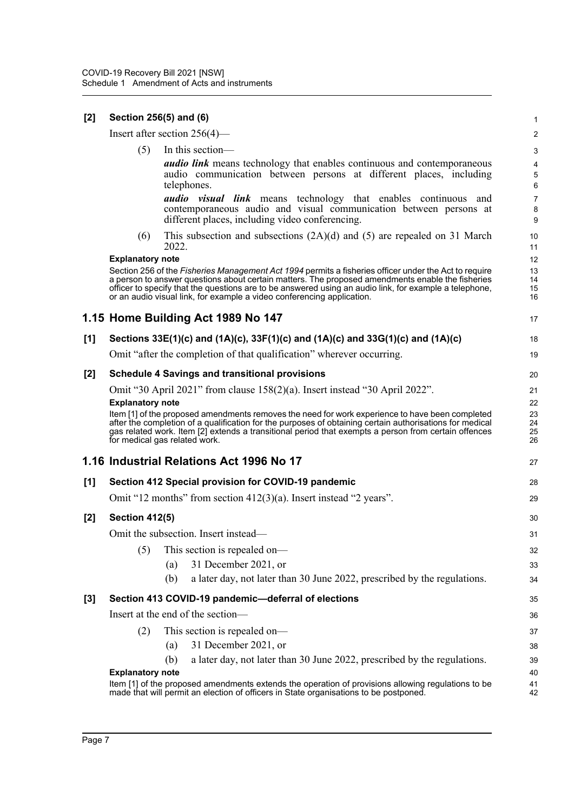| $[2]$ | Section 256(5) and (6)  |                                                                                                                                                                                                                                                                                                                                                                                               | $\mathbf{1}$             |
|-------|-------------------------|-----------------------------------------------------------------------------------------------------------------------------------------------------------------------------------------------------------------------------------------------------------------------------------------------------------------------------------------------------------------------------------------------|--------------------------|
|       |                         | Insert after section $256(4)$ —                                                                                                                                                                                                                                                                                                                                                               | $\overline{2}$           |
|       | (5)                     | In this section-                                                                                                                                                                                                                                                                                                                                                                              | 3                        |
|       |                         | <b><i>audio link</i></b> means technology that enables continuous and contemporaneous<br>audio communication between persons at different places, including<br>telephones.                                                                                                                                                                                                                    | 4<br>5<br>6              |
|       |                         | audio visual link means technology that enables continuous and<br>contemporaneous audio and visual communication between persons at<br>different places, including video conferencing.                                                                                                                                                                                                        | $\overline{7}$<br>8<br>9 |
|       | (6)                     | This subsection and subsections $(2A)(d)$ and $(5)$ are repealed on 31 March<br>2022.                                                                                                                                                                                                                                                                                                         | 10<br>11                 |
|       | <b>Explanatory note</b> |                                                                                                                                                                                                                                                                                                                                                                                               | 12                       |
|       |                         | Section 256 of the Fisheries Management Act 1994 permits a fisheries officer under the Act to require<br>a person to answer questions about certain matters. The proposed amendments enable the fisheries<br>officer to specify that the questions are to be answered using an audio link, for example a telephone,<br>or an audio visual link, for example a video conferencing application. | 13<br>14<br>15<br>16     |
|       |                         | 1.15 Home Building Act 1989 No 147                                                                                                                                                                                                                                                                                                                                                            | 17                       |
| [1]   |                         | Sections 33E(1)(c) and (1A)(c), 33F(1)(c) and (1A)(c) and 33G(1)(c) and (1A)(c)                                                                                                                                                                                                                                                                                                               | 18                       |
|       |                         | Omit "after the completion of that qualification" wherever occurring.                                                                                                                                                                                                                                                                                                                         | 19                       |
| $[2]$ |                         | <b>Schedule 4 Savings and transitional provisions</b>                                                                                                                                                                                                                                                                                                                                         | 20                       |
|       |                         | Omit "30 April 2021" from clause 158(2)(a). Insert instead "30 April 2022".                                                                                                                                                                                                                                                                                                                   | 21                       |
|       | <b>Explanatory note</b> |                                                                                                                                                                                                                                                                                                                                                                                               | 22                       |
|       |                         | Item [1] of the proposed amendments removes the need for work experience to have been completed<br>after the completion of a qualification for the purposes of obtaining certain authorisations for medical<br>gas related work. Item [2] extends a transitional period that exempts a person from certain offences<br>for medical gas related work.                                          | 23<br>24<br>25<br>26     |
|       |                         | 1.16 Industrial Relations Act 1996 No 17                                                                                                                                                                                                                                                                                                                                                      | 27                       |
| [1]   |                         | Section 412 Special provision for COVID-19 pandemic                                                                                                                                                                                                                                                                                                                                           | 28                       |
|       |                         | Omit "12 months" from section $412(3)(a)$ . Insert instead "2 years".                                                                                                                                                                                                                                                                                                                         | 29                       |
| [2]   | <b>Section 412(5)</b>   |                                                                                                                                                                                                                                                                                                                                                                                               | 30                       |
|       |                         | Omit the subsection. Insert instead—                                                                                                                                                                                                                                                                                                                                                          | 31                       |
|       | (5)                     | This section is repealed on-                                                                                                                                                                                                                                                                                                                                                                  | 32                       |
|       |                         |                                                                                                                                                                                                                                                                                                                                                                                               |                          |
|       |                         | 31 December 2021, or<br>(a)                                                                                                                                                                                                                                                                                                                                                                   | 33                       |
|       |                         | a later day, not later than 30 June 2022, prescribed by the regulations.<br>(b)                                                                                                                                                                                                                                                                                                               | 34                       |
| $[3]$ |                         | Section 413 COVID-19 pandemic-deferral of elections                                                                                                                                                                                                                                                                                                                                           | 35                       |
|       |                         | Insert at the end of the section-                                                                                                                                                                                                                                                                                                                                                             | 36                       |
|       | (2)                     | This section is repealed on-                                                                                                                                                                                                                                                                                                                                                                  | 37                       |
|       |                         | 31 December 2021, or<br>(a)                                                                                                                                                                                                                                                                                                                                                                   | 38                       |
|       |                         | a later day, not later than 30 June 2022, prescribed by the regulations.<br>(b)                                                                                                                                                                                                                                                                                                               | 39                       |
|       | <b>Explanatory note</b> | Item [1] of the proposed amendments extends the operation of provisions allowing regulations to be                                                                                                                                                                                                                                                                                            | 40                       |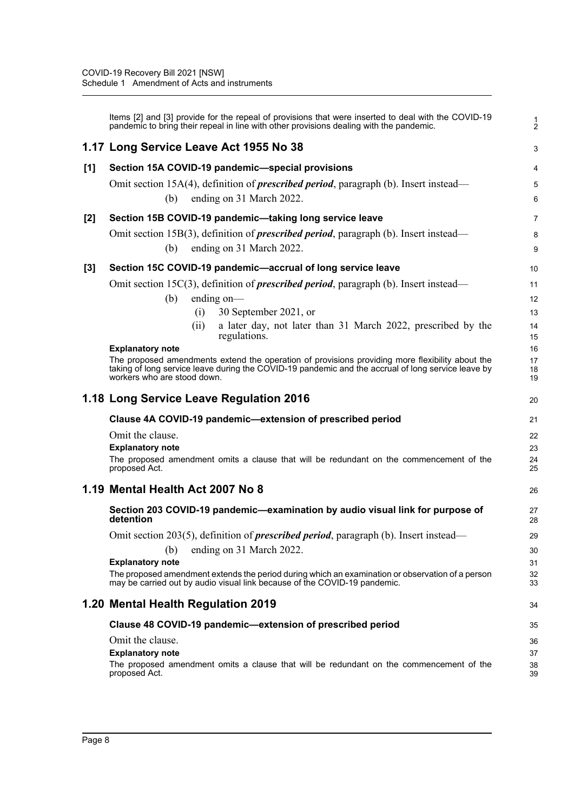|       | Items [2] and [3] provide for the repeal of provisions that were inserted to deal with the COVID-19<br>pandemic to bring their repeal in line with other provisions dealing with the pandemic. | $\frac{1}{2}$   |
|-------|------------------------------------------------------------------------------------------------------------------------------------------------------------------------------------------------|-----------------|
|       | 1.17 Long Service Leave Act 1955 No 38                                                                                                                                                         | 3               |
| [1]   | Section 15A COVID-19 pandemic-special provisions                                                                                                                                               | 4               |
|       | Omit section 15A(4), definition of <i>prescribed period</i> , paragraph (b). Insert instead-                                                                                                   | 5               |
|       | ending on 31 March 2022.<br>(b)                                                                                                                                                                | $6\phantom{1}6$ |
| $[2]$ | Section 15B COVID-19 pandemic-taking long service leave                                                                                                                                        | 7               |
|       | Omit section 15B(3), definition of <b>prescribed period</b> , paragraph (b). Insert instead—                                                                                                   | 8               |
|       | ending on 31 March 2022.<br>(b)                                                                                                                                                                | 9               |
| $[3]$ | Section 15C COVID-19 pandemic-accrual of long service leave                                                                                                                                    | 10              |
|       | Omit section 15 $C(3)$ , definition of <i>prescribed period</i> , paragraph (b). Insert instead—                                                                                               | 11              |
|       | (b)<br>ending on-                                                                                                                                                                              | 12              |
|       | 30 September 2021, or<br>(i)                                                                                                                                                                   | 13              |
|       | a later day, not later than 31 March 2022, prescribed by the<br>(ii)                                                                                                                           | 14              |
|       | regulations.<br><b>Explanatory note</b>                                                                                                                                                        | 15<br>16        |
|       | The proposed amendments extend the operation of provisions providing more flexibility about the                                                                                                | 17              |
|       | taking of long service leave during the COVID-19 pandemic and the accrual of long service leave by<br>workers who are stood down.                                                              | 18<br>19        |
|       | 1.18 Long Service Leave Regulation 2016                                                                                                                                                        | 20              |
|       | Clause 4A COVID-19 pandemic-extension of prescribed period                                                                                                                                     | 21              |
|       | Omit the clause.                                                                                                                                                                               | 22              |
|       | <b>Explanatory note</b>                                                                                                                                                                        | 23              |
|       | The proposed amendment omits a clause that will be redundant on the commencement of the<br>proposed Act.                                                                                       | 24<br>25        |
|       | 1.19 Mental Health Act 2007 No 8                                                                                                                                                               | 26              |
|       | Section 203 COVID-19 pandemic-examination by audio visual link for purpose of<br>detention                                                                                                     | 27<br>28        |
|       | Omit section 203(5), definition of <b>prescribed period</b> , paragraph (b). Insert instead—                                                                                                   | 29              |
|       | ending on 31 March 2022.<br>(b)                                                                                                                                                                | 30              |
|       | <b>Explanatory note</b>                                                                                                                                                                        | 31              |
|       | The proposed amendment extends the period during which an examination or observation of a person<br>may be carried out by audio visual link because of the COVID-19 pandemic.                  | 32<br>33        |
|       | 1.20 Mental Health Regulation 2019                                                                                                                                                             | 34              |
|       | Clause 48 COVID-19 pandemic-extension of prescribed period                                                                                                                                     | 35              |
|       | Omit the clause.                                                                                                                                                                               | 36              |
|       | <b>Explanatory note</b>                                                                                                                                                                        | 37              |
|       | The proposed amendment omits a clause that will be redundant on the commencement of the<br>proposed Act.                                                                                       | 38<br>39        |
|       |                                                                                                                                                                                                |                 |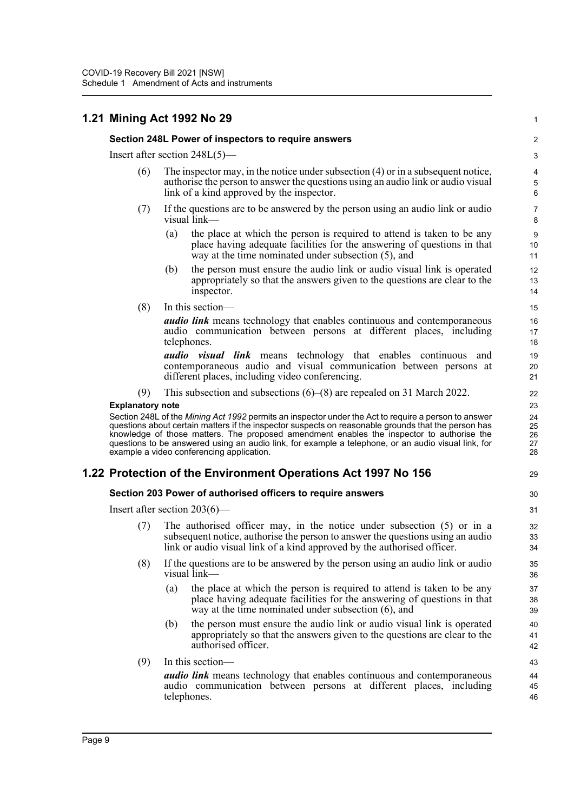# **1.21 Mining Act 1992 No 29**

#### **Section 248L Power of inspectors to require answers**

Insert after section 248L(5)—

- (6) The inspector may, in the notice under subsection (4) or in a subsequent notice, authorise the person to answer the questions using an audio link or audio visual link of a kind approved by the inspector.
- (7) If the questions are to be answered by the person using an audio link or audio visual link—
	- (a) the place at which the person is required to attend is taken to be any place having adequate facilities for the answering of questions in that way at the time nominated under subsection (5), and

1

29

- (b) the person must ensure the audio link or audio visual link is operated appropriately so that the answers given to the questions are clear to the inspector.
- (8) In this section—

*audio link* means technology that enables continuous and contemporaneous audio communication between persons at different places, including telephones.

*audio visual link* means technology that enables continuous and contemporaneous audio and visual communication between persons at different places, including video conferencing.

(9) This subsection and subsections (6)–(8) are repealed on 31 March 2022.

#### **Explanatory note**

Section 248L of the *Mining Act 1992* permits an inspector under the Act to require a person to answer questions about certain matters if the inspector suspects on reasonable grounds that the person has knowledge of those matters. The proposed amendment enables the inspector to authorise the questions to be answered using an audio link, for example a telephone, or an audio visual link, for example a video conferencing application.

### **1.22 Protection of the Environment Operations Act 1997 No 156**

#### **Section 203 Power of authorised officers to require answers**

Insert after section 203(6)—

- (7) The authorised officer may, in the notice under subsection (5) or in a subsequent notice, authorise the person to answer the questions using an audio link or audio visual link of a kind approved by the authorised officer.
- (8) If the questions are to be answered by the person using an audio link or audio visual link—
	- (a) the place at which the person is required to attend is taken to be any place having adequate facilities for the answering of questions in that way at the time nominated under subsection (6), and
	- (b) the person must ensure the audio link or audio visual link is operated appropriately so that the answers given to the questions are clear to the authorised officer.
- (9) In this section—

*audio link* means technology that enables continuous and contemporaneous audio communication between persons at different places, including telephones.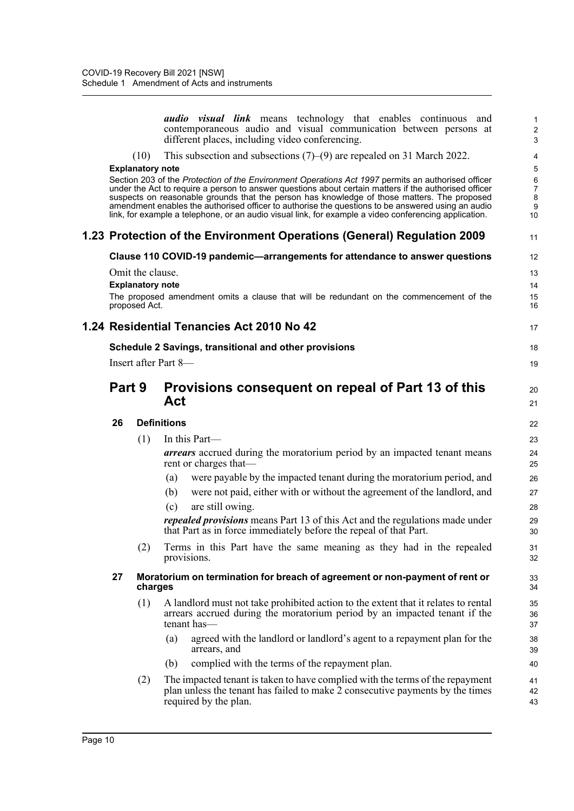|        |                         | <i>audio</i> visual link means technology that enables continuous and<br>contemporaneous audio and visual communication between persons at<br>different places, including video conferencing.              | 1<br>$\overline{\mathbf{c}}$<br>3 |
|--------|-------------------------|------------------------------------------------------------------------------------------------------------------------------------------------------------------------------------------------------------|-----------------------------------|
|        | (10)                    | This subsection and subsections $(7)$ – $(9)$ are repealed on 31 March 2022.                                                                                                                               | 4                                 |
|        | <b>Explanatory note</b> |                                                                                                                                                                                                            | 5                                 |
|        |                         | Section 203 of the Protection of the Environment Operations Act 1997 permits an authorised officer                                                                                                         | 6                                 |
|        |                         | under the Act to require a person to answer questions about certain matters if the authorised officer<br>suspects on reasonable grounds that the person has knowledge of those matters. The proposed       | 7<br>8                            |
|        |                         | amendment enables the authorised officer to authorise the questions to be answered using an audio<br>link, for example a telephone, or an audio visual link, for example a video conferencing application. | 9                                 |
|        |                         |                                                                                                                                                                                                            | 10                                |
|        |                         | 1.23 Protection of the Environment Operations (General) Regulation 2009                                                                                                                                    | 11                                |
|        |                         | Clause 110 COVID-19 pandemic-arrangements for attendance to answer questions                                                                                                                               | 12                                |
|        | Omit the clause.        |                                                                                                                                                                                                            | 13                                |
|        | <b>Explanatory note</b> |                                                                                                                                                                                                            | 14                                |
|        | proposed Act.           | The proposed amendment omits a clause that will be redundant on the commencement of the                                                                                                                    | 15<br>16                          |
|        |                         | 1.24 Residential Tenancies Act 2010 No 42                                                                                                                                                                  | 17                                |
|        |                         | Schedule 2 Savings, transitional and other provisions                                                                                                                                                      | 18                                |
|        |                         | Insert after Part 8-                                                                                                                                                                                       | 19                                |
| Part 9 |                         | Provisions consequent on repeal of Part 13 of this<br>Act                                                                                                                                                  | 20<br>21                          |
| 26     |                         | <b>Definitions</b>                                                                                                                                                                                         | 22                                |
|        | (1)                     | In this Part-                                                                                                                                                                                              | 23                                |
|        |                         | arrears accrued during the moratorium period by an impacted tenant means<br>rent or charges that—                                                                                                          | 24<br>25                          |
|        |                         | were payable by the impacted tenant during the moratorium period, and<br>(a)                                                                                                                               | 26                                |
|        |                         | were not paid, either with or without the agreement of the landlord, and<br>(b)                                                                                                                            | 27                                |
|        |                         | are still owing.<br>(c)                                                                                                                                                                                    | 28                                |
|        |                         | <i>repealed provisions</i> means Part 13 of this Act and the regulations made under<br>that Part as in force immediately before the repeal of that Part.                                                   | 29<br>30                          |
|        | (2)                     | Terms in this Part have the same meaning as they had in the repealed                                                                                                                                       | 31                                |
|        |                         | provisions.                                                                                                                                                                                                | 32                                |
| 27     | charges                 | Moratorium on termination for breach of agreement or non-payment of rent or                                                                                                                                | 33<br>34                          |
|        | (1)                     | A landlord must not take prohibited action to the extent that it relates to rental<br>arrears accrued during the moratorium period by an impacted tenant if the<br>tenant has-                             | 35<br>36<br>37                    |
|        |                         | agreed with the landlord or landlord's agent to a repayment plan for the<br>(a)<br>arrears, and                                                                                                            | 38<br>39                          |
|        |                         | complied with the terms of the repayment plan.<br>(b)                                                                                                                                                      | 40                                |
|        | (2)                     | The impacted tenant is taken to have complied with the terms of the repayment<br>plan unless the tenant has failed to make 2 consecutive payments by the times<br>required by the plan.                    | 41<br>42<br>43                    |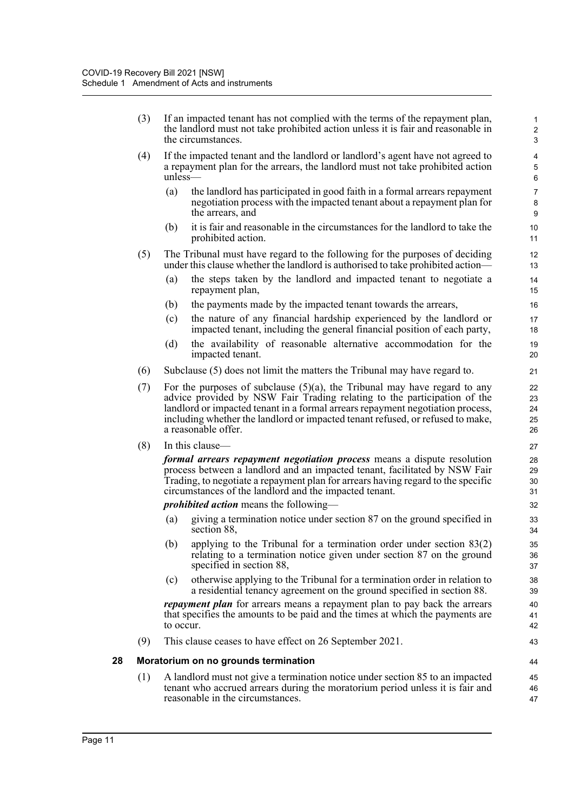|    | (3) | If an impacted tenant has not complied with the terms of the repayment plan,<br>the landlord must not take prohibited action unless it is fair and reasonable in<br>the circumstances.                                                                                                                                                              | $\mathbf{1}$<br>$\mathbf 2$<br>3 |
|----|-----|-----------------------------------------------------------------------------------------------------------------------------------------------------------------------------------------------------------------------------------------------------------------------------------------------------------------------------------------------------|----------------------------------|
|    | (4) | If the impacted tenant and the landlord or landlord's agent have not agreed to<br>a repayment plan for the arrears, the landlord must not take prohibited action<br>$unless$ —                                                                                                                                                                      | 4<br>5<br>6                      |
|    |     | the landlord has participated in good faith in a formal arrears repayment<br>(a)<br>negotiation process with the impacted tenant about a repayment plan for<br>the arrears, and                                                                                                                                                                     | $\overline{7}$<br>8<br>9         |
|    |     | it is fair and reasonable in the circumstances for the landlord to take the<br>(b)<br>prohibited action.                                                                                                                                                                                                                                            | 10<br>11                         |
|    | (5) | The Tribunal must have regard to the following for the purposes of deciding<br>under this clause whether the landlord is authorised to take prohibited action—                                                                                                                                                                                      | 12<br>13                         |
|    |     | (a)<br>the steps taken by the landlord and impacted tenant to negotiate a<br>repayment plan,                                                                                                                                                                                                                                                        | 14<br>15                         |
|    |     | (b)<br>the payments made by the impacted tenant towards the arrears,                                                                                                                                                                                                                                                                                | 16                               |
|    |     | the nature of any financial hardship experienced by the landlord or<br>(c)<br>impacted tenant, including the general financial position of each party,                                                                                                                                                                                              | 17<br>18                         |
|    |     | the availability of reasonable alternative accommodation for the<br>(d)<br>impacted tenant.                                                                                                                                                                                                                                                         | 19<br>20                         |
|    | (6) | Subclause (5) does not limit the matters the Tribunal may have regard to.                                                                                                                                                                                                                                                                           | 21                               |
|    | (7) | For the purposes of subclause $(5)(a)$ , the Tribunal may have regard to any<br>advice provided by NSW Fair Trading relating to the participation of the<br>landlord or impacted tenant in a formal arrears repayment negotiation process,<br>including whether the landlord or impacted tenant refused, or refused to make,<br>a reasonable offer. | 22<br>23<br>24<br>25<br>26       |
|    | (8) | In this clause—                                                                                                                                                                                                                                                                                                                                     | 27                               |
|    |     | <i>formal arrears repayment negotiation process</i> means a dispute resolution<br>process between a landlord and an impacted tenant, facilitated by NSW Fair<br>Trading, to negotiate a repayment plan for arrears having regard to the specific<br>circumstances of the landlord and the impacted tenant.                                          | 28<br>29<br>30<br>31             |
|    |     | <i>prohibited action</i> means the following—                                                                                                                                                                                                                                                                                                       | 32                               |
|    |     | giving a termination notice under section 87 on the ground specified in<br>(a)<br>section 88,                                                                                                                                                                                                                                                       | 33<br>34                         |
|    |     | (b) applying to the Tribunal for a termination order under section $83(2)$<br>relating to a termination notice given under section 87 on the ground<br>specified in section 88,                                                                                                                                                                     | 35<br>36<br>37                   |
|    |     | otherwise applying to the Tribunal for a termination order in relation to<br>(c)<br>a residential tenancy agreement on the ground specified in section 88.                                                                                                                                                                                          | 38<br>39                         |
|    |     | repayment plan for arrears means a repayment plan to pay back the arrears<br>that specifies the amounts to be paid and the times at which the payments are<br>to occur.                                                                                                                                                                             | 40<br>41<br>42                   |
|    | (9) | This clause ceases to have effect on 26 September 2021.                                                                                                                                                                                                                                                                                             | 43                               |
| 28 |     | Moratorium on no grounds termination                                                                                                                                                                                                                                                                                                                | 44                               |
|    | (1) | A landlord must not give a termination notice under section 85 to an impacted<br>tenant who accrued arrears during the moratorium period unless it is fair and<br>reasonable in the circumstances.                                                                                                                                                  | 45<br>46<br>47                   |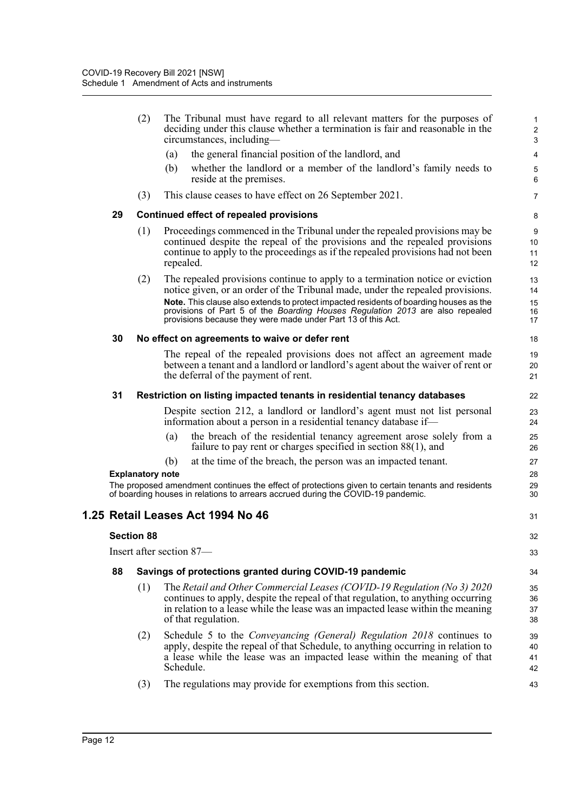|                   | (2)                     | The Tribunal must have regard to all relevant matters for the purposes of<br>deciding under this clause whether a termination is fair and reasonable in the<br>circumstances, including—                                                                                                                                                                                                                   | 1<br>$\overline{\mathbf{c}}$<br>3 |
|-------------------|-------------------------|------------------------------------------------------------------------------------------------------------------------------------------------------------------------------------------------------------------------------------------------------------------------------------------------------------------------------------------------------------------------------------------------------------|-----------------------------------|
|                   |                         | the general financial position of the landlord, and<br>(a)                                                                                                                                                                                                                                                                                                                                                 | 4                                 |
|                   |                         | whether the landlord or a member of the landlord's family needs to<br>(b)<br>reside at the premises.                                                                                                                                                                                                                                                                                                       | 5<br>6                            |
|                   | (3)                     | This clause ceases to have effect on 26 September 2021.                                                                                                                                                                                                                                                                                                                                                    | 7                                 |
| 29                |                         | <b>Continued effect of repealed provisions</b>                                                                                                                                                                                                                                                                                                                                                             | 8                                 |
|                   | (1)                     | Proceedings commenced in the Tribunal under the repealed provisions may be<br>continued despite the repeal of the provisions and the repealed provisions<br>continue to apply to the proceedings as if the repealed provisions had not been<br>repealed.                                                                                                                                                   | 9<br>10<br>11<br>12               |
|                   | (2)                     | The repealed provisions continue to apply to a termination notice or eviction<br>notice given, or an order of the Tribunal made, under the repealed provisions.<br>Note. This clause also extends to protect impacted residents of boarding houses as the<br>provisions of Part 5 of the Boarding Houses Regulation 2013 are also repealed<br>provisions because they were made under Part 13 of this Act. | 13<br>14<br>15<br>16<br>17        |
| 30                |                         | No effect on agreements to waive or defer rent                                                                                                                                                                                                                                                                                                                                                             | 18                                |
|                   |                         | The repeal of the repealed provisions does not affect an agreement made<br>between a tenant and a landlord or landlord's agent about the waiver of rent or<br>the deferral of the payment of rent.                                                                                                                                                                                                         | 19<br>20<br>21                    |
| 31                |                         | Restriction on listing impacted tenants in residential tenancy databases                                                                                                                                                                                                                                                                                                                                   | 22                                |
|                   |                         | Despite section 212, a landlord or landlord's agent must not list personal<br>information about a person in a residential tenancy database if—                                                                                                                                                                                                                                                             | 23<br>24                          |
|                   |                         | the breach of the residential tenancy agreement arose solely from a<br>(a)<br>failure to pay rent or charges specified in section $88(1)$ , and                                                                                                                                                                                                                                                            | 25<br>26                          |
|                   | <b>Explanatory note</b> | (b)<br>at the time of the breach, the person was an impacted tenant.                                                                                                                                                                                                                                                                                                                                       | 27<br>28                          |
|                   |                         | The proposed amendment continues the effect of protections given to certain tenants and residents<br>of boarding houses in relations to arrears accrued during the COVID-19 pandemic.                                                                                                                                                                                                                      | 29<br>30                          |
|                   |                         | 1.25 Retail Leases Act 1994 No 46                                                                                                                                                                                                                                                                                                                                                                          | 31                                |
| <b>Section 88</b> |                         |                                                                                                                                                                                                                                                                                                                                                                                                            | 32                                |
|                   |                         | Insert after section 87-                                                                                                                                                                                                                                                                                                                                                                                   | 33                                |
| 88                |                         | Savings of protections granted during COVID-19 pandemic                                                                                                                                                                                                                                                                                                                                                    | 34                                |
|                   | (1)                     | The Retail and Other Commercial Leases (COVID-19 Regulation (No 3) 2020<br>continues to apply, despite the repeal of that regulation, to anything occurring<br>in relation to a lease while the lease was an impacted lease within the meaning<br>of that regulation.                                                                                                                                      | 35<br>36<br>37<br>38              |
|                   | (2)                     | Schedule 5 to the <i>Conveyancing (General) Regulation 2018</i> continues to<br>apply, despite the repeal of that Schedule, to anything occurring in relation to<br>a lease while the lease was an impacted lease within the meaning of that<br>Schedule.                                                                                                                                                  | 39<br>40<br>41<br>42              |
|                   | (3)                     | The regulations may provide for exemptions from this section.                                                                                                                                                                                                                                                                                                                                              | 43                                |
|                   |                         |                                                                                                                                                                                                                                                                                                                                                                                                            |                                   |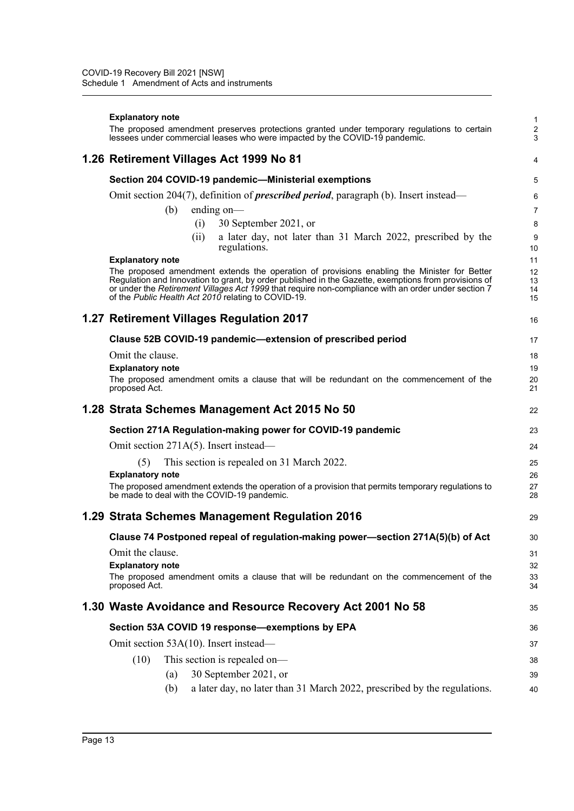#### **Explanatory note**

The proposed amendment preserves protections granted under temporary regulations to certain lessees under commercial leases who were impacted by the COVID-19 pandemic.

## **1.26 Retirement Villages Act 1999 No 81**

### **Section 204 COVID-19 pandemic—Ministerial exemptions** Omit section 204(7), definition of *prescribed period*, paragraph (b). Insert instead—

(b) ending on—

- (i) 30 September 2021, or
- (ii) a later day, not later than 31 March 2022, prescribed by the regulations.

1 2 3

4

16

29

40

#### **Explanatory note**

The proposed amendment extends the operation of provisions enabling the Minister for Better Regulation and Innovation to grant, by order published in the Gazette, exemptions from provisions of or under the *Retirement Villages Act 1999* that require non-compliance with an order under section 7 of the *Public Health Act 2010* relating to COVID-19.

# **1.27 Retirement Villages Regulation 2017**

| Clause 52B COVID-19 pandemic-extension of prescribed period                                              | 17       |
|----------------------------------------------------------------------------------------------------------|----------|
| Omit the clause.                                                                                         | 18       |
| <b>Explanatory note</b>                                                                                  | 19       |
| The proposed amendment omits a clause that will be redundant on the commencement of the<br>proposed Act. | 20<br>21 |
| 1.28 Strata Schemes Management Act 2015 No 50                                                            | 22       |
| Section 271A Regulation-making power for COVID-19 pandemic                                               | 23       |
| Omit section 271A(5). Insert instead—                                                                    | 24       |

(5) This section is repealed on 31 March 2022.

#### **Explanatory note**

The proposed amendment extends the operation of a provision that permits temporary regulations to be made to deal with the COVID-19 pandemic.

### **1.29 Strata Schemes Management Regulation 2016**

| Clause 74 Postponed repeal of regulation-making power—section 271A(5)(b) of Act                                                                         | 30                   |
|---------------------------------------------------------------------------------------------------------------------------------------------------------|----------------------|
| Omit the clause.<br><b>Explanatory note</b><br>The proposed amendment omits a clause that will be redundant on the commencement of the<br>proposed Act. | 31<br>32<br>33<br>34 |
| 1.30 Waste Avoidance and Resource Recovery Act 2001 No 58                                                                                               | 35                   |
| Section 53A COVID 19 response-exemptions by EPA                                                                                                         | 36                   |
| Omit section 53A(10). Insert instead—                                                                                                                   | 37                   |
| This section is repealed on—<br>(10)                                                                                                                    | 38                   |
| 30 September 2021, or<br>(a)                                                                                                                            | 39                   |

(b) a later day, no later than 31 March 2022, prescribed by the regulations.